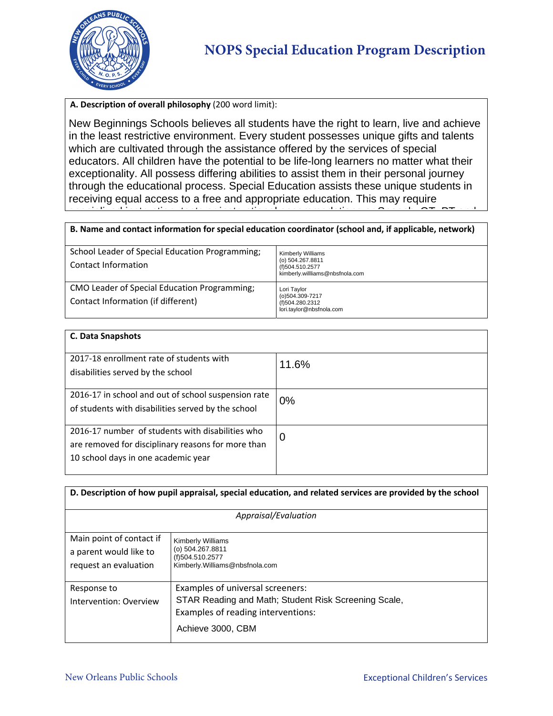

## **A. Description of overall philosophy** (200 word limit):

New Beginnings Schools believes all students have the right to learn, live and achieve in the least restrictive environment. Every student possesses unique gifts and talents which are cultivated through the assistance offered by the services of special educators. All children have the potential to be life-long learners no matter what their exceptionality. All possess differing abilities to assist them in their personal journey through the educational process. Special Education assists these unique students in receiving equal access to a free and appropriate education. This may require specialized instruction, tests or instruction, tests or accommodations or Speech, OT, PT and California<br>.

## B. Name and contact information for special education coordinator (school and, if applicable, network) Special Education station station station station station station processing weppermap iteration

| School Leader of Special Education Programming;<br>Contact Information             | <b>Kimberly Williams</b><br>(o) 504.267.8811<br>(f)504.510.2577<br>kimberly.willliams@nbsfnola.com |
|------------------------------------------------------------------------------------|----------------------------------------------------------------------------------------------------|
| CMO Leader of Special Education Programming;<br>Contact Information (if different) | Lori Taylor<br>(o)504.309-7217<br>(f)504.280.2312<br>lori.taylor@nbsfnola.com                      |

| <b>C. Data Snapshots</b>                                                                                                                      |       |  |
|-----------------------------------------------------------------------------------------------------------------------------------------------|-------|--|
| 2017-18 enrollment rate of students with<br>disabilities served by the school                                                                 | 11.6% |  |
| 2016-17 in school and out of school suspension rate<br>of students with disabilities served by the school                                     | 0%    |  |
| 2016-17 number of students with disabilities who<br>are removed for disciplinary reasons for more than<br>10 school days in one academic year | 0     |  |

| D. Description of how pupil appraisal, special education, and related services are provided by the school |                                                      |  |  |  |
|-----------------------------------------------------------------------------------------------------------|------------------------------------------------------|--|--|--|
| Appraisal/Evaluation                                                                                      |                                                      |  |  |  |
| Main point of contact if                                                                                  | <b>Kimberly Williams</b>                             |  |  |  |
| a parent would like to                                                                                    | (o) 504.267.8811<br>(f)504.510.2577                  |  |  |  |
| request an evaluation                                                                                     | Kimberly. Williams@nbsfnola.com                      |  |  |  |
| Response to                                                                                               | Examples of universal screeners:                     |  |  |  |
| Intervention: Overview                                                                                    | STAR Reading and Math; Student Risk Screening Scale, |  |  |  |
|                                                                                                           | Examples of reading interventions:                   |  |  |  |
|                                                                                                           | Achieve 3000, CBM                                    |  |  |  |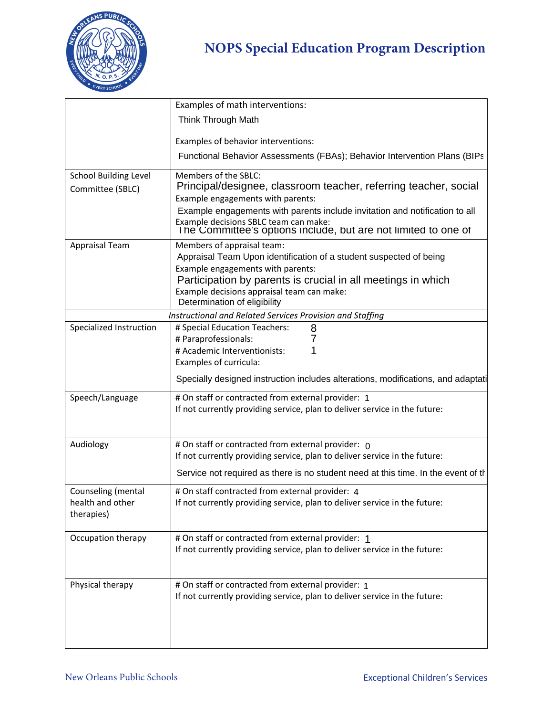

## **NOPS Special Education Program Description**

|                                                      | Examples of math interventions:                                                                                                                                                                                                                                                                                         |
|------------------------------------------------------|-------------------------------------------------------------------------------------------------------------------------------------------------------------------------------------------------------------------------------------------------------------------------------------------------------------------------|
|                                                      | Think Through Math                                                                                                                                                                                                                                                                                                      |
|                                                      | Examples of behavior interventions:                                                                                                                                                                                                                                                                                     |
|                                                      | Functional Behavior Assessments (FBAs); Behavior Intervention Plans (BIPs                                                                                                                                                                                                                                               |
| <b>School Building Level</b><br>Committee (SBLC)     | Members of the SBLC:<br>Principal/designee, classroom teacher, referring teacher, social<br>Example engagements with parents:<br>Example engagements with parents include invitation and notification to all<br>Example decisions SBLC team can make:<br>The Committee's options include, but are not limited to one of |
| Appraisal Team                                       | Members of appraisal team:<br>Appraisal Team Upon identification of a student suspected of being<br>Example engagements with parents:<br>Participation by parents is crucial in all meetings in which<br>Example decisions appraisal team can make:<br>Determination of eligibility                                     |
|                                                      | Instructional and Related Services Provision and Staffing                                                                                                                                                                                                                                                               |
|                                                      | Specialized Instruction   # Special Education Teachers:<br># Paraprofessionals:<br># Academic Interventionists:<br>Examples of curricula:<br>Specially designed instruction includes alterations, modifications, and adaptati                                                                                           |
| Speech/Language                                      | # On staff or contracted from external provider: 1<br>$ $ If not currently providing service, plan to deliver service in the future:                                                                                                                                                                                    |
| Audiology                                            | $\vert$ # On staff or contracted from external provider: $\vert$<br>If not currently providing service, plan to deliver service in the future:<br>Service not required as there is no student need at this time. In the event of the                                                                                    |
| Counseling (mental<br>health and other<br>therapies) | $\parallel$ # On staff contracted from external provider: 4<br>If not currently providing service, plan to deliver service in the future:                                                                                                                                                                               |
| Occupation therapy                                   | $\vert$ # On staff or contracted from external provider: 1<br>If not currently providing service, plan to deliver service in the future:                                                                                                                                                                                |
| Physical therapy                                     | # On staff or contracted from external provider: 1<br>If not currently providing service, plan to deliver service in the future:                                                                                                                                                                                        |
|                                                      |                                                                                                                                                                                                                                                                                                                         |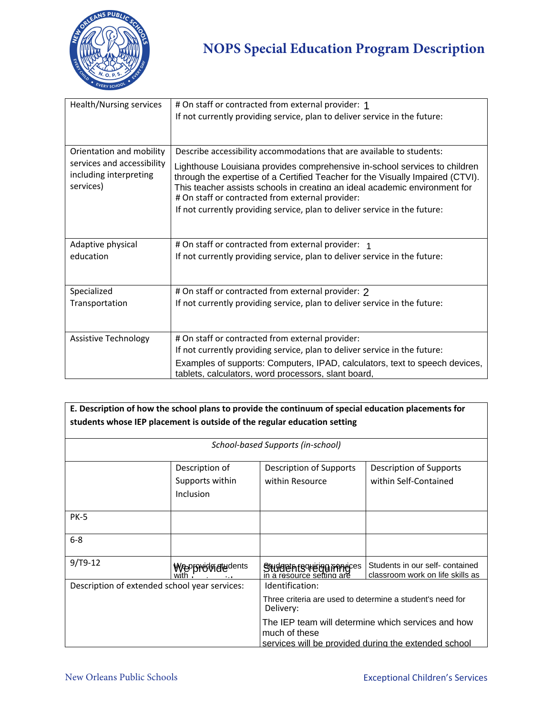

| Health/Nursing services    | # On staff or contracted from external provider: 1                                                                             |
|----------------------------|--------------------------------------------------------------------------------------------------------------------------------|
|                            | If not currently providing service, plan to deliver service in the future:                                                     |
|                            |                                                                                                                                |
|                            |                                                                                                                                |
| Orientation and mobility   | Describe accessibility accommodations that are available to students:                                                          |
| services and accessibility | Lighthouse Louisiana provides comprehensive in-school services to children                                                     |
| including interpreting     | through the expertise of a Certified Teacher for the Visually Impaired (CTVI).                                                 |
| services)                  | This teacher assists schools in creating an ideal academic environment for<br># On staff or contracted from external provider: |
|                            |                                                                                                                                |
|                            | If not currently providing service, plan to deliver service in the future:                                                     |
|                            |                                                                                                                                |
|                            |                                                                                                                                |
| Adaptive physical          | # On staff or contracted from external provider: 1                                                                             |
| education                  | If not currently providing service, plan to deliver service in the future:                                                     |
|                            |                                                                                                                                |
|                            |                                                                                                                                |
| Specialized                | # On staff or contracted from external provider: 2                                                                             |
| Transportation             | If not currently providing service, plan to deliver service in the future:                                                     |
|                            |                                                                                                                                |
|                            |                                                                                                                                |
| Assistive Technology       | # On staff or contracted from external provider:                                                                               |
|                            | If not currently providing service, plan to deliver service in the future:                                                     |
|                            | Examples of supports: Computers, IPAD, calculators, text to speech devices,                                                    |
|                            | tablets, calculators, word processors, slant board,                                                                            |

| E. Description of how the school plans to provide the continuum of special education placements for<br>students whose IEP placement is outside of the regular education setting |                                                |                                                                                                                                                                                                                          |                                                                     |
|---------------------------------------------------------------------------------------------------------------------------------------------------------------------------------|------------------------------------------------|--------------------------------------------------------------------------------------------------------------------------------------------------------------------------------------------------------------------------|---------------------------------------------------------------------|
| School-based Supports (in-school)                                                                                                                                               |                                                |                                                                                                                                                                                                                          |                                                                     |
|                                                                                                                                                                                 | Description of<br>Supports within<br>Inclusion | Description of Supports<br>within Resource                                                                                                                                                                               | Description of Supports<br>within Self-Contained                    |
| <b>PK-5</b>                                                                                                                                                                     |                                                |                                                                                                                                                                                                                          |                                                                     |
| $6 - 8$                                                                                                                                                                         |                                                |                                                                                                                                                                                                                          |                                                                     |
| $9/T9-12$                                                                                                                                                                       | <b>WePf9WRGALdents</b>                         | Studdenfscheung francies<br>in a resource setting are                                                                                                                                                                    | Students in our self- contained<br>classroom work on life skills as |
| Description of extended school year services:                                                                                                                                   |                                                | Identification:<br>Three criteria are used to determine a student's need for<br>Delivery:<br>The IEP team will determine which services and how<br>much of these<br>services will be provided during the extended school |                                                                     |

and need to increase their

with their course